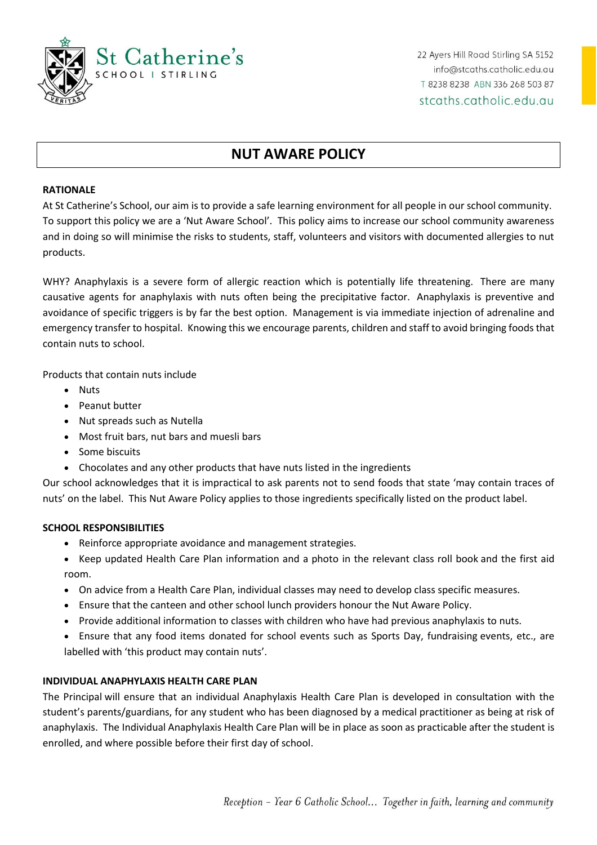

22 Ayers Hill Road Stirling SA 5152 info@stcaths.catholic.edu.au T 8238 8238 ABN 336 268 503 87 stcaths.catholic.edu.au

# **NUT AWARE POLICY**

#### **RATIONALE**

At St Catherine's School, our aim is to provide a safe learning environment for all people in our school community. To support this policy we are a 'Nut Aware School'. This policy aims to increase our school community awareness and in doing so will minimise the risks to students, staff, volunteers and visitors with documented allergies to nut products.

WHY? Anaphylaxis is a severe form of allergic reaction which is potentially life threatening. There are many causative agents for anaphylaxis with nuts often being the precipitative factor. Anaphylaxis is preventive and avoidance of specific triggers is by far the best option. Management is via immediate injection of adrenaline and emergency transfer to hospital. Knowing this we encourage parents, children and staff to avoid bringing foods that contain nuts to school.

Products that contain nuts include

- Nuts
- Peanut butter
- Nut spreads such as Nutella
- Most fruit bars, nut bars and muesli bars
- Some biscuits
- Chocolates and any other products that have nuts listed in the ingredients

Our school acknowledges that it is impractical to ask parents not to send foods that state 'may contain traces of nuts' on the label. This Nut Aware Policy applies to those ingredients specifically listed on the product label.

### **SCHOOL RESPONSIBILITIES**

- Reinforce appropriate avoidance and management strategies.
- Keep updated Health Care Plan information and a photo in the relevant class roll book and the first aid room.
- On advice from a Health Care Plan, individual classes may need to develop class specific measures.
- Ensure that the canteen and other school lunch providers honour the Nut Aware Policy.
- Provide additional information to classes with children who have had previous anaphylaxis to nuts.
- Ensure that any food items donated for school events such as Sports Day, fundraising events, etc., are labelled with 'this product may contain nuts'.

### **INDIVIDUAL ANAPHYLAXIS HEALTH CARE PLAN**

The Principal will ensure that an individual Anaphylaxis Health Care Plan is developed in consultation with the student's parents/guardians, for any student who has been diagnosed by a medical practitioner as being at risk of anaphylaxis. The Individual Anaphylaxis Health Care Plan will be in place as soon as practicable after the student is enrolled, and where possible before their first day of school.